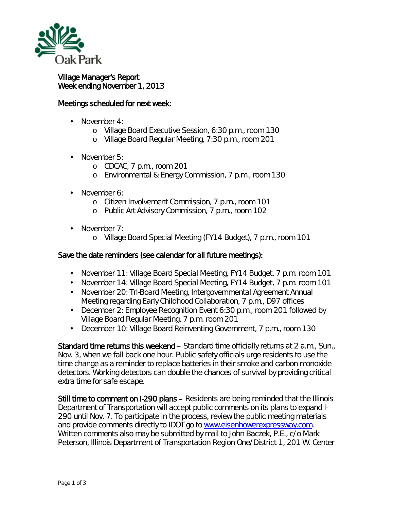

## Village Manager's Report Week ending November 1, 2013

## Meetings scheduled for next week:

- November 4:
	- o Village Board Executive Session, 6:30 p.m., room 130
	- o Village Board Regular Meeting, 7:30 p.m., room 201
- November 5: L.
	- o CDCAC, 7 p.m., room 201
	- o Environmental & Energy Commission, 7 p.m., room 130
- November 6: L.
	- o Citizen Involvement Commission, 7 p.m., room 101
	- o Public Art Advisory Commission, 7 p.m., room 102
- · November 7:
	- o Village Board Special Meeting (FY14 Budget), 7 p.m., room 101

## Save the date reminders (see calendar for all future meetings):

- November 11: Village Board Special Meeting, FY14 Budget, 7 p.m. room 101  $\mathbf{r}$
- November 14: Village Board Special Meeting, FY14 Budget, 7 p.m. room 101
- $\mathcal{L}^{\text{max}}$ November 20: Tri-Board Meeting, Intergovernmental Agreement Annual Meeting regarding Early Childhood Collaboration, 7 p.m., D97 offices
- December 2: Employee Recognition Event 6:30 p.m., room 201 followed by  $\mathcal{L}^{\text{max}}$ Village Board Regular Meeting, 7 p.m. room 201
- t, December 10: Village Board Reinventing Government, 7 p.m., room 130

Standard time returns this weekend – Standard time officially returns at 2 a.m., Sun., Nov. 3, when we *fall back* one hour. Public safety officials urge residents to use the time change as a reminder to replace batteries in their smoke and carbon monoxide detectors. Working detectors can double the chances of survival by providing critical extra time for safe escape.

Still time to comment on I-290 plans – Residents are being reminded that the Illinois Department of Transportation will accept public comments on its plans to expand I-290 until Nov. 7. To participate in the process, review the public meeting materials and provide comments directly to IDOT go to [www.eisenhowerexpressway.com.](http://www.eisenhowerexpressway.com/) Written comments also may be submitted by mail to John Baczek, P.E., c/o Mark Peterson, Illinois Department of Transportation Region One/District 1, 201 W. Center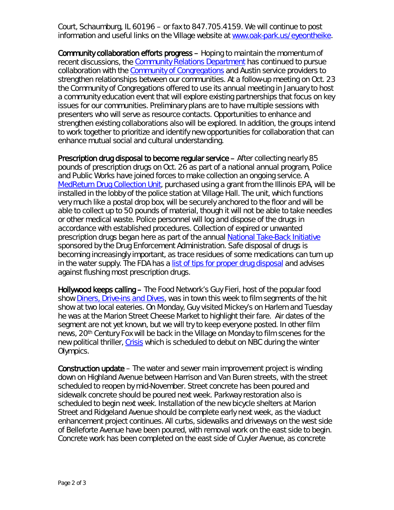Court, Schaumburg, IL 60196 – or fax to 847.705.4159. We will continue to post information and useful links on the Village website at [www.oak-park.us/eyeontheike.](http://www.oak-park.us/eyeontheike)

Community collaboration efforts progress – Hoping to maintain the momentum of recent discussions, the [Community Relations Department](http://www.oak-park.us/our-community/community-relations) has continued to pursue collaboration with the [Community of Congregations](http://www.communityofcongregations.org/) and Austin service providers to strengthen relationships between our communities. At a follow-up meeting on Oct. 23 the Community of Congregations offered to use its annual meeting in January to host a community education event that will explore existing partnerships that focus on key issues for our communities. Preliminary plans are to have multiple sessions with presenters who will serve as resource contacts. Opportunities to enhance and strengthen existing collaborations also will be explored. In addition, the groups intend to work together to prioritize and identify new opportunities for collaboration that can enhance mutual social and cultural understanding.

Prescription drug disposal to become regular service – After collecting nearly 85 pounds of prescription drugs on Oct. 26 as part of a national annual program, Police and Public Works have joined forces to make collection an ongoing service. A [MedReturn Drug Collection Unit,](http://www.medreturn.com/drug-collection-unit.php) purchased using a grant from the Illinois EPA, will be installed in the lobby of the police station at Village Hall. The unit, which functions very much like a postal drop box, will be securely anchored to the floor and will be able to collect up to 50 pounds of material, though it will not be able to take needles or other medical waste. Police personnel will log and dispose of the drugs in accordance with established procedures. Collection of expired or unwanted prescription drugs began here as part of the annual [National Take-Back Initiative](http://www.deadiversion.usdoj.gov/drug_disposal/takeback/) sponsored by the Drug Enforcement Administration. Safe disposal of drugs is becoming increasingly important, as trace residues of some medications can turn up in the water supply. The FDA has a [list of tips for proper drug disposal](http://www.fda.gov/forconsumers/consumerupdates/ucm101653.htm) and advises against flushing most prescription drugs.

Hollywood keeps calling – The Food Network's Guy Fieri, host of the popular food show *[Diners, Drive-ins and Dives,](http://www.foodnetwork.com/diners-drive-ins-and-dives/index.html)* was in town this week to film segments of the hit show at two local eateries. On Monday, Guy visited Mickey's on Harlem and Tuesday he was at the Marion Street Cheese Market to highlight their fare. Air dates of the segment are not yet known, but we will try to keep everyone posted. In other film news, 20th Century Fox will be back in the Village on Monday to film scenes for the new political thriller, *[Crisis](http://www.nbc.com/crisis/)* which is scheduled to debut on NBC during the winter Olympics.

Construction update – The water and sewer main improvement project is winding down on Highland Avenue between Harrison and Van Buren streets, with the street scheduled to reopen by mid-November. Street concrete has been poured and sidewalk concrete should be poured next week. Parkway restoration also is scheduled to begin next week. Installation of the new bicycle shelters at Marion Street and Ridgeland Avenue should be complete early next week, as the viaduct enhancement project continues. All curbs, sidewalks and driveways on the west side of Belleforte Avenue have been poured, with removal work on the east side to begin. Concrete work has been completed on the east side of Cuyler Avenue, as concrete